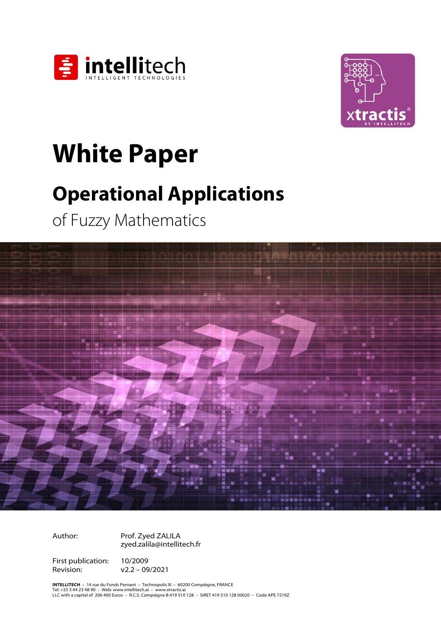



# **White Paper<br>
Operational Applications**

**Operations of Fuzzy Mathematics** 



Author: Prof. Zyed ZALILA zyed.zalila@intellitech.fr

First publication: 10/2009 Revision: v2.2 – 09/2021

**INTELLITECH** – 14 rue du Fonds Pernant – Technopolis III – 60200 Compiègne, FRANCE<br>Tel: +33 3 44 23 48 90 – Web: www.intellitech.ai – www.xtractis.ai<br>LLC with a capital of 206 400 Euros – R.C.S. Compiègne B 419 510 128 –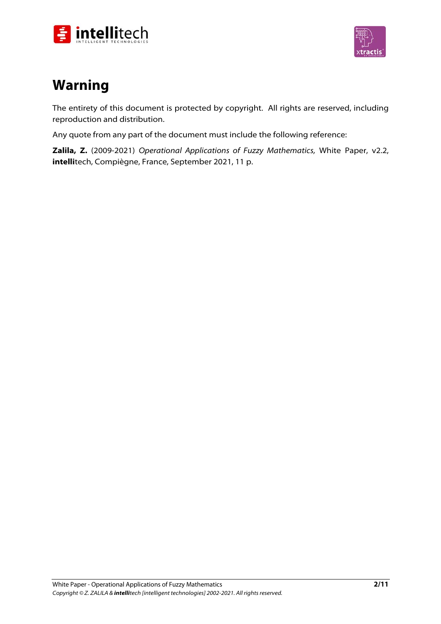



# **Warning**

The entirety of this document is protected by copyright. All rights are reserved, including reproduction and distribution.

Any quote from any part of the document must include the following reference:

**Zalila, Z.** (2009-2021) Operational Applications of Fuzzy Mathematics, White Paper, v2.2, **intelli**tech, Compiègne, France, September 2021, 11 p.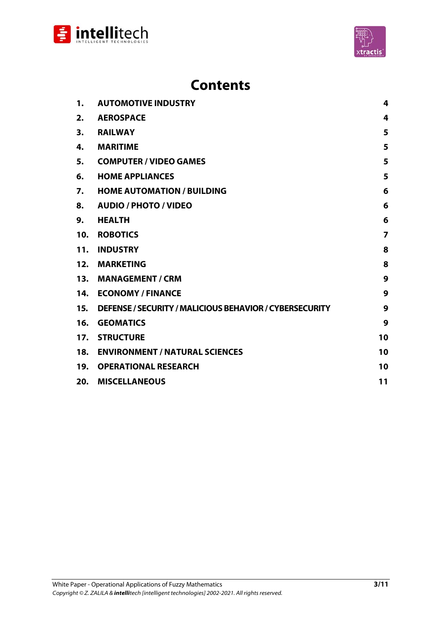



| 1.  | <b>AUTOMOTIVE INDUSTRY</b>                              | 4              |
|-----|---------------------------------------------------------|----------------|
| 2.  | <b>AEROSPACE</b>                                        | 4              |
| 3.  | <b>RAILWAY</b>                                          | 5              |
| 4.  | <b>MARITIME</b>                                         | 5              |
| 5.  | <b>COMPUTER / VIDEO GAMES</b>                           | 5              |
| 6.  | <b>HOME APPLIANCES</b>                                  | 5              |
| 7.  | <b>HOME AUTOMATION / BUILDING</b>                       | 6              |
| 8.  | <b>AUDIO / PHOTO / VIDEO</b>                            | 6              |
| 9.  | <b>HEALTH</b>                                           | 6              |
| 10. | <b>ROBOTICS</b>                                         | $\overline{7}$ |
| 11. | <b>INDUSTRY</b>                                         | 8              |
| 12. | <b>MARKETING</b>                                        | 8              |
| 13. | <b>MANAGEMENT / CRM</b>                                 | 9              |
|     | 14. ECONOMY / FINANCE                                   | 9              |
| 15. | DEFENSE / SECURITY / MALICIOUS BEHAVIOR / CYBERSECURITY | 9              |
| 16. | <b>GEOMATICS</b>                                        | 9              |
| 17. | <b>STRUCTURE</b>                                        | 10             |
| 18. | <b>ENVIRONMENT / NATURAL SCIENCES</b>                   | 10             |
| 19. | <b>OPERATIONAL RESEARCH</b>                             | 10             |
| 20. | <b>MISCELLANEOUS</b>                                    | 11             |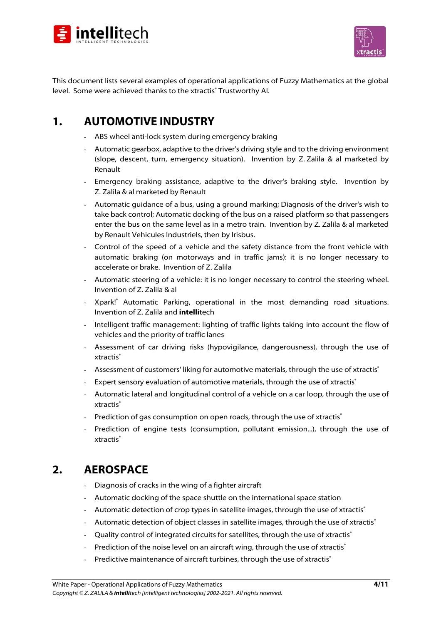



This document lists several examples of operational applications of Fuzzy Mathematics at the global level. Some were achieved thanks to the xtractis® Trustworthy Al.

### 1. **AUTOMOTIVE INDUSTRY**

- **1. AUTOMOTIVE INDUSTRY** AND **ABS** wheel anti-lock system during emergency braking
	- Automatic gearbox, adaptive to the driver's driving style and to the driving environment (slope, descent, turn, emergency situation). Invention by Z. Zalila & al marketed by Renault
	- Emergency braking assistance, adaptive to the driver's braking style. Invention by Z. Zalila & al marketed by Renault
	- Automatic guidance of a bus, using a ground marking; Diagnosis of the driver's wish to take back control; Automatic docking of the bus on a raised platform so that passengers enter the bus on the same level as in a metro train. Invention by Z. Zalila & al marketed by Renault Vehicules Industriels, then by Irisbus.
	- Control of the speed of a vehicle and the safety distance from the front vehicle with automatic braking (on motorways and in traffic jams): it is no longer necessary to accelerate or brake. Invention of Z. Zalila
	- Automatic steering of a vehicle: it is no longer necessary to control the steering wheel. Invention of Z. Zalila & al
	- Xpark!® Automatic Parking, operational in the most demanding road situations. Invention of Z. Zalila and **intelli**tech
	- Intelligent traffic management: lighting of traffic lights taking into account the flow of vehicles and the priority of traffic lanes
	- Assessment of car driving risks (hypovigilance, dangerousness), through the use of xtractis®
	- Assessment of customers' liking for automotive materials, through the use of xtractis<sup>®</sup>
	- Expert sensory evaluation of automotive materials, through the use of xtractis®
	- Automatic lateral and longitudinal control of a vehicle on a car loop, through the use of xtractis<sup>®</sup>
	- Prediction of gas consumption on open roads, through the use of xtractis®
	- Prediction of engine tests (consumption, pollutant emission...), through the use of xtractis<sup>®</sup>

# **AEROSPACE**  $2.$

- **2. AEROSPACE**  Diagnosis of cracks in the wing of a fighter aircraft
	- Automatic docking of the space shuttle on the international space station
	- Automatic detection of crop types in satellite images, through the use of xtractis<sup>®</sup>
	- Automatic detection of object classes in satellite images, through the use of xtractis<sup>®</sup>
	- Quality control of integrated circuits for satellites, through the use of xtractis<sup>®</sup>
	- Prediction of the noise level on an aircraft wing, through the use of xtractis<sup>®</sup>
	- Predictive maintenance of aircraft turbines, through the use of xtractis<sup>®</sup>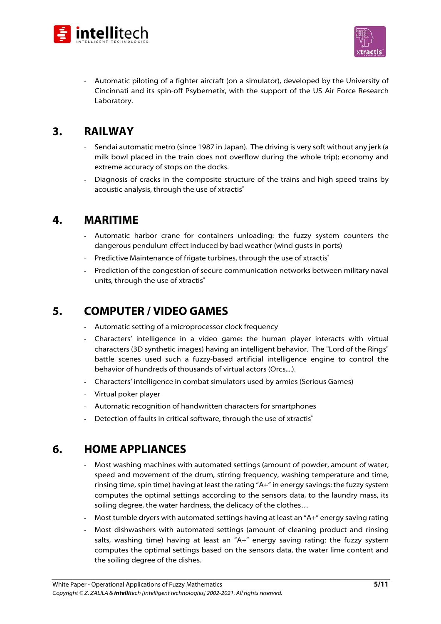



- Automatic piloting of a fighter aircraft (on a simulator), developed by the University of Cincinnati and its spin-off Psybernetix, with the support of the US Air Force Research Laboratory.

- **3. RAILWAY**  Sendai automatic metro (since 1987 in Japan). The driving is very soft without any jerk (a milk bowl placed in the train does not overflow during the whole trip); economy and extreme accuracy of stops on the docks.
	- Diagnosis of cracks in the composite structure of the trains and high speed trains by acoustic analysis, through the use of xtractis®

### 4. **MARITIME**

- **4. MARITIME**  Automatic harbor crane for containers unloading: the fuzzy system counters the dangerous pendulum effect induced by bad weather (wind gusts in ports)
	- Predictive Maintenance of frigate turbines, through the use of xtractis<sup>®</sup>
	- Prediction of the congestion of secure communication networks between military naval units, through the use of xtractis®

### **COMPUTER / VIDEO GAMES** 5.

- **5.**<br>**5.** Automatic setting of a microprocessor clock frequency
	- Characters' intelligence in a video game: the human player interacts with virtual characters (3D synthetic images) having an intelligent behavior. The "Lord of the Rings" battle scenes used such a fuzzy-based artificial intelligence engine to control the behavior of hundreds of thousands of virtual actors (Orcs,...).
	- Characters' intelligence in combat simulators used by armies (Serious Games)
	- Virtual poker player
	- Automatic recognition of handwritten characters for smartphones
	- Detection of faults in critical software, through the use of xtractis®

### **HOME APPLIANCES** 6.

- **6. Home APPLIANCES** *Most washing machines with automated settings (amount of powder, amount of water, amount of water, amount of water, amount of water,*  $\frac{1}{1000}$ speed and movement of the drum, stirring frequency, washing temperature and time, rinsing time, spin time) having at least the rating "A+" in energy savings: the fuzzy system computes the optimal settings according to the sensors data, to the laundry mass, its soiling degree, the water hardness, the delicacy of the clothes…
	- Most tumble dryers with automated settings having at least an "A+" energy saving rating
	- Most dishwashers with automated settings (amount of cleaning product and rinsing salts, washing time) having at least an "A+" energy saving rating: the fuzzy system computes the optimal settings based on the sensors data, the water lime content and the soiling degree of the dishes.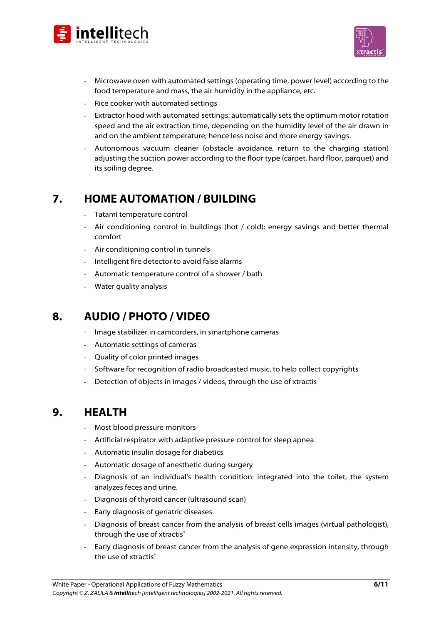



- Microwave oven with automated settings (operating time, power level) according to the food temperature and mass, the air humidity in the appliance, etc.
- Rice cooker with automated settings
- Extractor hood with automated settings: automatically sets the optimum motor rotation speed and the air extraction time, depending on the humidity level of the air drawn in and on the ambient temperature; hence less noise and more energy savings.
- Autonomous vacuum cleaner (obstacle avoidance, return to the charging station) adjusting the suction power according to the floor type (carpet, hard floor, parquet) and its soiling degree.

# $\overline{7}$ . **HOME AUTOMATION / BUILDING**

- **7. Tatami temperature control**<br> **FORE 2.1** 
	- Air conditioning control in buildings (hot / cold): energy savings and better thermal comfort
	- Air conditioning control in tunnels
	- Intelligent fire detector to avoid false alarms
	- Automatic temperature control of a shower / bath
	- Water quality analysis

### **AUDIO / PHOTO / VIDEO** 8.

- **8. AUDIO / PHOTO** *F*<br>**8.** Image stabilizer in camcorders, in smartphone cameras
	- Automatic settings of cameras
	- Quality of color printed images
	- Software for recognition of radio broadcasted music, to help collect copyrights
	- Detection of objects in images / videos, through the use of xtractis

### 9. **HEALTH**

- **9. HEALTH**  Most blood pressure monitors
	- Artificial respirator with adaptive pressure control for sleep apnea
	- Automatic insulin dosage for diabetics
	- Automatic dosage of anesthetic during surgery
	- Diagnosis of an individual's health condition: integrated into the toilet, the system analyzes feces and urine.
	- Diagnosis of thyroid cancer (ultrasound scan)
	- Early diagnosis of geriatric diseases
	- Diagnosis of breast cancer from the analysis of breast cells images (virtual pathologist), through the use of xtractis<sup>®</sup>
	- Early diagnosis of breast cancer from the analysis of gene expression intensity, through the use of xtractis<sup>®</sup>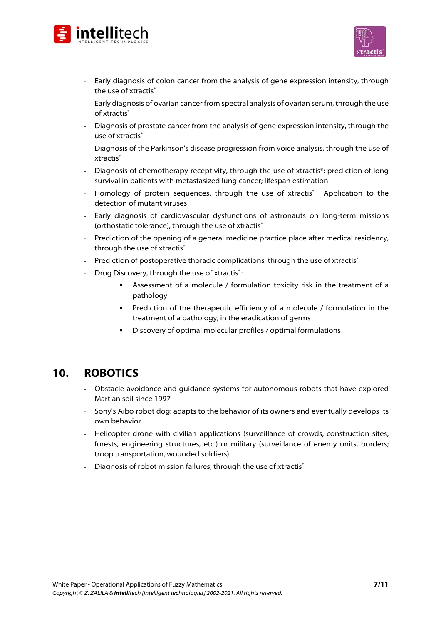



- Early diagnosis of colon cancer from the analysis of gene expression intensity, through the use of xtractis®
- Early diagnosis of ovarian cancer from spectral analysis of ovarian serum, through the use of xtractis®
- Diagnosis of prostate cancer from the analysis of gene expression intensity, through the use of xtractis®
- Diagnosis of the Parkinson's disease progression from voice analysis, through the use of xtractis<sup>®</sup>
- Diagnosis of chemotherapy receptivity, through the use of xtractis®: prediction of long survival in patients with metastasized lung cancer; lifespan estimation
- Homology of protein sequences, through the use of xtractis<sup>\*</sup>. Application to the detection of mutant viruses
- Early diagnosis of cardiovascular dysfunctions of astronauts on long-term missions (orthostatic tolerance), through the use of xtractis®
- Prediction of the opening of a general medicine practice place after medical residency, through the use of xtractis<sup>®</sup>
- Prediction of postoperative thoracic complications, through the use of xtractis<sup>®</sup>
- Drug Discovery, through the use of xtractis<sup>®</sup>:
	- Assessment of a molecule / formulation toxicity risk in the treatment of a pathology
	- **Prediction of the therapeutic efficiency of a molecule / formulation in the** treatment of a pathology, in the eradication of germs
	- Discovery of optimal molecular profiles / optimal formulations

### $10.$ **ROBOTICS**

- 10.<br>**10. Obstacle avoidance and guidance systems for autonomous robots that have explored** Martian soil since 1997
	- Sony's Aibo robot dog: adapts to the behavior of its owners and eventually develops its own behavior
	- Helicopter drone with civilian applications (surveillance of crowds, construction sites, forests, engineering structures, etc.) or military (surveillance of enemy units, borders; troop transportation, wounded soldiers).
	- Diagnosis of robot mission failures, through the use of xtractis<sup>®</sup>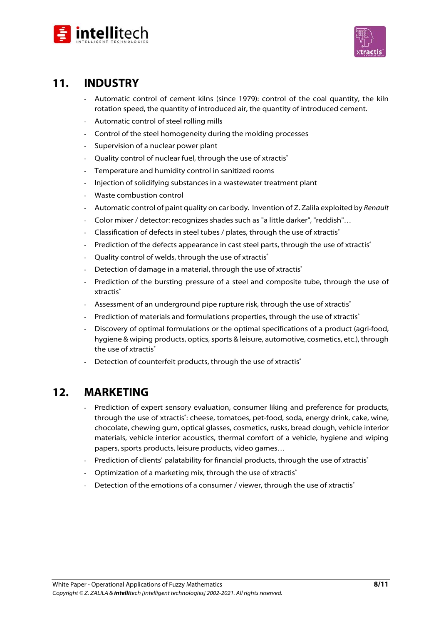



### $11.$ **INDUSTRY**

- **11. INDUSTRY**  Automatic control of cement kilns (since 1979): control of the coal quantity, the kiln rotation speed, the quantity of introduced air, the quantity of introduced cement.
	- Automatic control of steel rolling mills
	- Control of the steel homogeneity during the molding processes
	- Supervision of a nuclear power plant
	- Quality control of nuclear fuel, through the use of xtractis®
	- Temperature and humidity control in sanitized rooms
	- Injection of solidifying substances in a wastewater treatment plant
	- Waste combustion control
	- Automatic control of paint quality on car body. Invention of Z. Zalila exploited by Renault
	- Color mixer / detector: recognizes shades such as "a little darker", "reddish"...
	- Classification of defects in steel tubes / plates, through the use of xtractis<sup>®</sup>
	- Prediction of the defects appearance in cast steel parts, through the use of xtractis®
	- Ouality control of welds, through the use of xtractis<sup>®</sup>
	- Detection of damage in a material, through the use of xtractis®
	- Prediction of the bursting pressure of a steel and composite tube, through the use of xtractis<sup>®</sup>
	- Assessment of an underground pipe rupture risk, through the use of xtractis<sup>®</sup>
	- Prediction of materials and formulations properties, through the use of xtractis®
	- Discovery of optimal formulations or the optimal specifications of a product (agri-food, hygiene & wiping products, optics, sports & leisure, automotive, cosmetics, etc.), through the use of xtractis<sup>®</sup>
	- Detection of counterfeit products, through the use of xtractis<sup>®</sup>

### $12.$ **MARKETING**

- **12. MARKETING**  Prediction of expert sensory evaluation, consumer liking and preference for products, through the use of xtractis<sup>\*</sup>: cheese, tomatoes, pet-food, soda, energy drink, cake, wine, chocolate, chewing gum, optical glasses, cosmetics, rusks, bread dough, vehicle interior materials, vehicle interior acoustics, thermal comfort of a vehicle, hygiene and wiping papers, sports products, leisure products, video games…
	- Prediction of clients' palatability for financial products, through the use of xtractis<sup>®</sup>
	- Optimization of a marketing mix, through the use of xtractis®
	- Detection of the emotions of a consumer / viewer, through the use of xtractis<sup>®</sup>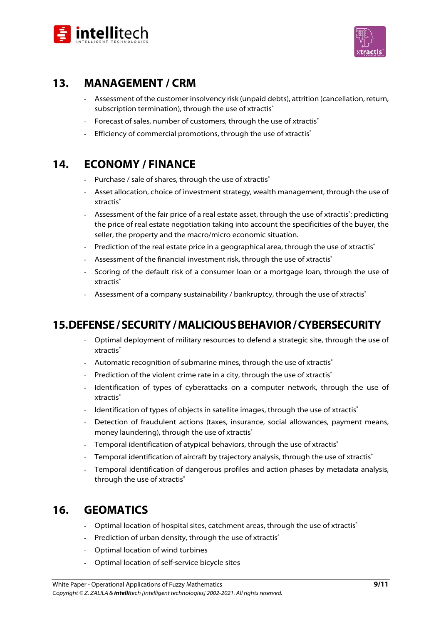



# $13.$ **MANAGEMENT / CRM**

- **13.**<br>
 Assessment of the customer insolvency risk (unpaid debts), attrition (cancellation, return, subscription termination), through the use of xtractis®
	- Forecast of sales, number of customers, through the use of xtractis®
	- Efficiency of commercial promotions, through the use of xtractis<sup>®</sup>

### **ECONOMY / FINANCE**  $14.$

- 14. **If the conomit of the state of shares**, through the use of xtractis<sup>®</sup>
	- Asset allocation, choice of investment strategy, wealth management, through the use of xtractis<sup>®</sup>
	- $-$  Assessment of the fair price of a real estate asset, through the use of xtractis $\degree$ : predicting the price of real estate negotiation taking into account the specificities of the buyer, the seller, the property and the macro/micro economic situation.
	- Prediction of the real estate price in a geographical area, through the use of xtractis®
	- Assessment of the financial investment risk, through the use of xtractis®
	- Scoring of the default risk of a consumer loan or a mortgage loan, through the use of xtractis<sup>®</sup>
	- Assessment of a company sustainability / bankruptcy, through the use of xtractis®

- **15.**<br>Deptimal deployment of military resources to defend a strategic site, through the use of xtractis<sup>®</sup>
	- Automatic recognition of submarine mines, through the use of xtractis<sup>®</sup>
	- Prediction of the violent crime rate in a city, through the use of xtractis<sup>®</sup>
	- Identification of types of cyberattacks on a computer network, through the use of xtractis<sup>®</sup>
	- Identification of types of objects in satellite images, through the use of xtractis<sup>®</sup>
	- Detection of fraudulent actions (taxes, insurance, social allowances, payment means, money laundering), through the use of xtractis®
	- Temporal identification of atypical behaviors, through the use of xtractis<sup>®</sup>
	- Temporal identification of aircraft by trajectory analysis, through the use of xtractis®
	- Temporal identification of dangerous profiles and action phases by metadata analysis, through the use of xtractis®

### **GEOMATICS**  $16.$

- 16. **If the state of the Seconda**<br>Coptimal location of hospital sites, catchment areas, through the use of xtractis<sup>®</sup>
	- Prediction of urban density, through the use of xtractis®
	- Optimal location of wind turbines
	- Optimal location of self-service bicycle sites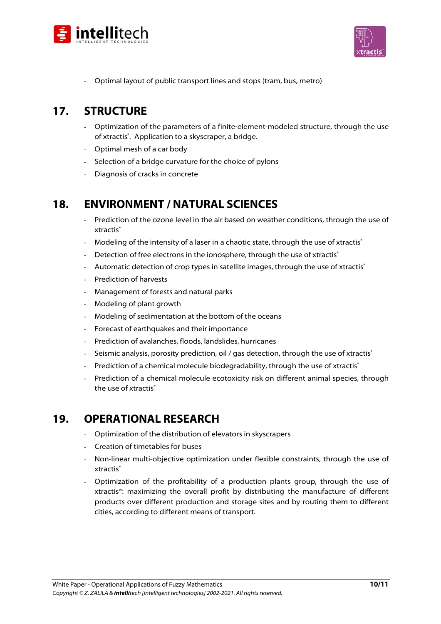



- Optimal layout of public transport lines and stops (tram, bus, metro)

### **STRUCTURE**  $17<sub>1</sub>$

- **17. STRUCTURE**  Optimization of the parameters of a finite-element-modeled structure, through the use of xtractis<sup>®</sup>. Application to a skyscraper, a bridge.
	- Optimal mesh of a car body
	- Selection of a bridge curvature for the choice of pylons
	- Diagnosis of cracks in concrete

# **ENVIRONMENT / NATURAL SCIENCES**  $18.$

- **18. ENVIRONMENT / NATURAL SCIENCES**  Prediction of the ozone level in the air based on weather conditions, through the use of xtractis<sup>®</sup>
	- Modeling of the intensity of a laser in a chaotic state, through the use of xtractis®
	- Detection of free electrons in the ionosphere, through the use of xtractis®
	- Automatic detection of crop types in satellite images, through the use of xtractis<sup>®</sup>
	- Prediction of harvests
	- Management of forests and natural parks
	- Modeling of plant growth
	- Modeling of sedimentation at the bottom of the oceans
	- Forecast of earthquakes and their importance
	- Prediction of avalanches, floods, landslides, hurricanes
	- Seismic analysis, porosity prediction, oil / gas detection, through the use of xtractis<sup>®</sup>
	- Prediction of a chemical molecule biodegradability, through the use of xtractis®
	- Prediction of a chemical molecule ecotoxicity risk on different animal species, through the use of xtractis<sup>®</sup>

# **OPERATIONAL RESEARCH**  $19.$

- 19. **19. Products and 19. Products Optimization of the distribution of elevators in skyscrapers** 
	- Creation of timetables for buses
	- Non-linear multi-objective optimization under flexible constraints, through the use of xtractis<sup>®</sup>
	- Optimization of the profitability of a production plants group, through the use of xtractis®: maximizing the overall profit by distributing the manufacture of different products over different production and storage sites and by routing them to different cities, according to different means of transport.